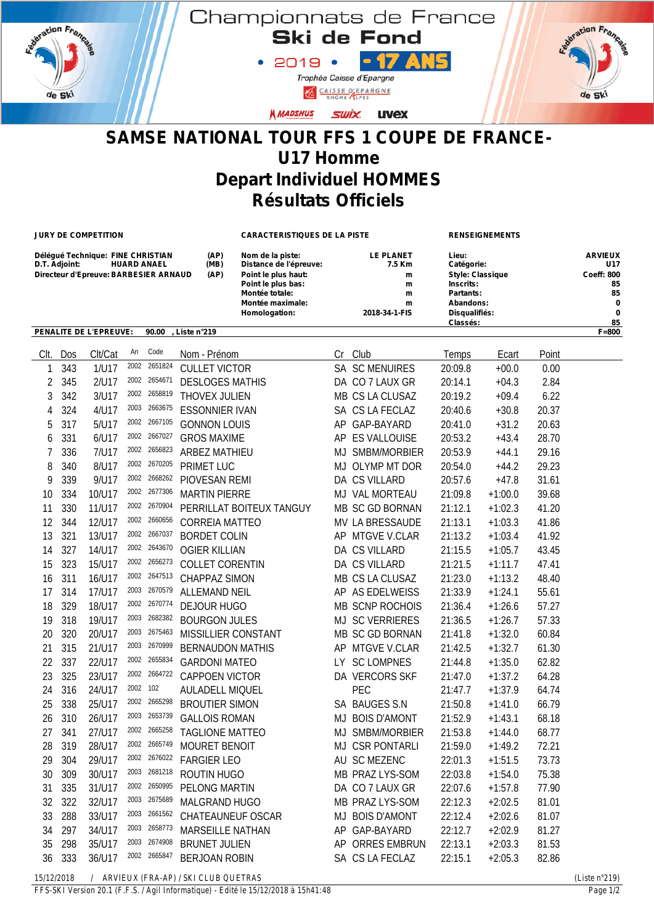

Championnats de France<br>Ski de Fond

 $\cdot$  2019  $\cdot$   $\cdot$   $\cdot$  7 Trophée Caisse d'Epargne

CAISSE D'EPARGNE

ration France de Ski

## **N MADSHUS** SWİX. UVEX

## **SAMSE NATIONAL TOUR FFS 1 COUPE DE FRANCE-U17 Homme Depart Individuel HOMMES Résultats Officiels**

**JURY DE COMPETITION CARACTERISTIQUES DE LA PISTE RENSEIGNEMENTS**

| Déléqué Technique: FINE CHRISTIAN                       | (AP) | Nom de la piste:       | <b>LE PLANET</b> | Lieu:                   | <b>ARVIEUX</b><br><b>U17</b> |
|---------------------------------------------------------|------|------------------------|------------------|-------------------------|------------------------------|
| D.T. Adjoint:<br><b>HUARD ANAEL</b>                     | (MB) | Distance de l'épreuve: | 7.5 Km           | Catégorie:              |                              |
| Directeur d'Epreuve: BARBESIER ARNAUD                   | (AP) | Point le plus haut:    | m                | <b>Style: Classique</b> | <b>Coeff: 800</b>            |
|                                                         |      | Point le plus bas:     | m                | Inscrits:               | 85                           |
|                                                         |      | Montée totale:         | m                | Partants:               | 85                           |
|                                                         |      | Montée maximale:       | m                | Abandons:               | 0                            |
|                                                         |      | Homologation:          | 2018-34-1-FIS    | Disqualifiés:           | 0                            |
|                                                         |      |                        |                  | Classés:                | 85                           |
| <b>PENALITE DE L'EPREUVE:</b><br>90.00<br>. Liste n°219 |      |                        |                  |                         | $F = 800$                    |

| Clt.       | Dos | Clt/Cat | An       | Code         | Nom - Prénom                          |      | Cr Club                | Temps   | Ecart     | Point |                  |
|------------|-----|---------|----------|--------------|---------------------------------------|------|------------------------|---------|-----------|-------|------------------|
| 1          | 343 | 1/U17   | 2002     | 2651824      | <b>CULLET VICTOR</b>                  |      | SA SC MENUIRES         | 20:09.8 | $+00.0$   | 0.00  |                  |
| 2          | 345 | 2/U17   | 2002     | 2654671      | <b>DESLOGES MATHIS</b>                |      | DA CO 7 LAUX GR        | 20:14.1 | $+04.3$   | 2.84  |                  |
| 3          | 342 | 3/U17   |          | 2002 2658819 | THOVEX JULIEN                         |      | MB CS LA CLUSAZ        | 20:19.2 | $+09.4$   | 6.22  |                  |
| 4          | 324 | 4/U17   | 2003     | 2663675      | <b>ESSONNIER IVAN</b>                 |      | SA CS LA FECLAZ        | 20:40.6 | $+30.8$   | 20.37 |                  |
| 5          | 317 | 5/U17   | 2002     | 2667105      | <b>GONNON LOUIS</b>                   |      | AP GAP-BAYARD          | 20:41.0 | $+31.2$   | 20.63 |                  |
| 6          | 331 | 6/U17   |          | 2002 2667027 | <b>GROS MAXIME</b>                    |      | AP ES VALLOUISE        | 20:53.2 | $+43.4$   | 28.70 |                  |
| 7          | 336 | 7/U17   |          | 2002 2656823 | <b>ARBEZ MATHIEU</b>                  |      | MJ SMBM/MORBIER        | 20:53.9 | $+44.1$   | 29.16 |                  |
| 8          | 340 | 8/U17   |          | 2002 2670205 | PRIMET LUC                            |      | MJ OLYMP MT DOR        | 20:54.0 | $+44.2$   | 29.23 |                  |
| 9          | 339 | 9/U17   |          | 2002 2668262 | PIOVESAN REMI                         |      | DA CS VILLARD          | 20:57.6 | $+47.8$   | 31.61 |                  |
| 10         | 334 | 10/U17  | 2002     | 2677306      | <b>MARTIN PIERRE</b>                  |      | MJ VAL MORTEAU         | 21:09.8 | $+1:00.0$ | 39.68 |                  |
| 11         | 330 | 11/U17  | 2002     | 2670904      | PERRILLAT BOITEUX TANGUY              |      | MB SC GD BORNAN        | 21:12.1 | $+1:02.3$ | 41.20 |                  |
| 12         | 344 | 12/U17  | 2002     | 2660656      | <b>CORREIA MATTEO</b>                 |      | MV LA BRESSAUDE        | 21:13.1 | $+1:03.3$ | 41.86 |                  |
| 13         | 321 | 13/U17  | 2002     | 2667037      | <b>BORDET COLIN</b>                   |      | AP MTGVE V.CLAR        | 21:13.2 | $+1:03.4$ | 41.92 |                  |
| 14         | 327 | 14/U17  | 2002     | 2643670      | <b>OGIER KILLIAN</b>                  |      | DA CS VILLARD          | 21:15.5 | $+1:05.7$ | 43.45 |                  |
| 15         | 323 | 15/U17  | 2002     | 2656273      | <b>COLLET CORENTIN</b>                |      | DA CS VILLARD          | 21:21.5 | $+1:11.7$ | 47.41 |                  |
| 16         | 311 | 16/U17  | 2002     | 2647513      | <b>CHAPPAZ SIMON</b>                  |      | MB CS LA CLUSAZ        | 21:23.0 | $+1:13.2$ | 48.40 |                  |
| 17         | 314 | 17/U17  | 2003     | 2670579      | <b>ALLEMAND NEIL</b>                  |      | AP AS EDELWEISS        | 21:33.9 | $+1:24.1$ | 55.61 |                  |
| 18         | 329 | 18/U17  | 2002     | 2670774      | <b>DEJOUR HUGO</b>                    |      | MB SCNP ROCHOIS        | 21:36.4 | $+1:26.6$ | 57.27 |                  |
| 19         | 318 | 19/U17  | 2003     | 2682382      | <b>BOURGON JULES</b>                  |      | <b>MJ SC VERRIERES</b> | 21:36.5 | $+1:26.7$ | 57.33 |                  |
| 20         | 320 | 20/U17  | 2003     | 2675463      | MISSILLIER CONSTANT                   |      | MB SC GD BORNAN        | 21:41.8 | $+1:32.0$ | 60.84 |                  |
| 21         | 315 | 21/U17  | 2003     | 2670999      | <b>BERNAUDON MATHIS</b>               |      | AP MTGVE V.CLAR        | 21:42.5 | $+1:32.7$ | 61.30 |                  |
| 22         | 337 | 22/U17  |          | 2002 2655834 | <b>GARDONI MATEO</b>                  | LY - | <b>SC LOMPNES</b>      | 21:44.8 | $+1:35.0$ | 62.82 |                  |
| 23         | 325 | 23/U17  | 2002     | 2664722      | <b>CAPPOEN VICTOR</b>                 |      | DA VERCORS SKF         | 21:47.0 | $+1:37.2$ | 64.28 |                  |
| 24         | 316 | 24/U17  | 2002 102 |              | <b>AULADELL MIQUEL</b>                |      | PEC                    | 21:47.7 | $+1:37.9$ | 64.74 |                  |
| 25         | 338 | 25/U17  | 2002     | 2665298      | <b>BROUTIER SIMON</b>                 |      | SA BAUGES S.N          | 21:50.8 | $+1:41.0$ | 66.79 |                  |
| 26         | 310 | 26/U17  | 2003     | 2653739      | <b>GALLOIS ROMAN</b>                  |      | MJ BOIS D'AMONT        | 21:52.9 | $+1:43.1$ | 68.18 |                  |
| 27         | 341 | 27/U17  | 2002     | 2665258      | <b>TAGLIONE MATTEO</b>                |      | MJ SMBM/MORBIER        | 21:53.8 | $+1:44.0$ | 68.77 |                  |
| 28         | 319 | 28/U17  | 2002     | 2665749      | MOURET BENOIT                         |      | MJ CSR PONTARLI        | 21:59.0 | $+1:49.2$ | 72.21 |                  |
| 29         | 304 | 29/U17  | 2002     | 2676022      | <b>FARGIER LEO</b>                    |      | AU SC MEZENC           | 22:01.3 | $+1:51.5$ | 73.73 |                  |
| 30         | 309 | 30/U17  | 2003     | 2681218      | <b>ROUTIN HUGO</b>                    |      | MB PRAZ LYS-SOM        | 22:03.8 | $+1:54.0$ | 75.38 |                  |
| 31         | 335 | 31/U17  | 2002     | 2650995      | PELONG MARTIN                         |      | DA CO 7 LAUX GR        | 22:07.6 | $+1:57.8$ | 77.90 |                  |
| 32         | 322 | 32/U17  | 2003     | 2675689      | MALGRAND HUGO                         |      | MB PRAZ LYS-SOM        | 22:12.3 | $+2:02.5$ | 81.01 |                  |
| 33         | 288 | 33/U17  | 2003     | 2661562      | CHATEAUNEUF OSCAR                     |      | MJ BOIS D'AMONT        | 22:12.4 | $+2:02.6$ | 81.07 |                  |
| 34         | 297 | 34/U17  | 2003     | 2658773      | MARSEILLE NATHAN                      |      | AP GAP-BAYARD          | 22:12.7 | $+2:02.9$ | 81.27 |                  |
| 35         | 298 | 35/U17  | 2003     | 2674908      | <b>BRUNET JULIEN</b>                  |      | AP ORRES EMBRUN        | 22:13.1 | $+2:03.3$ | 81.53 |                  |
| 36         | 333 | 36/U17  |          | 2002 2665847 | <b>BERJOAN ROBIN</b>                  |      | SA CS LA FECLAZ        | 22:15.1 | $+2:05.3$ | 82.86 |                  |
| 15/12/2018 |     |         |          |              | / ARVIEUX (FRA-AP) / SKI CLUB QUETRAS |      |                        |         |           |       | (Liste $n°219$ ) |